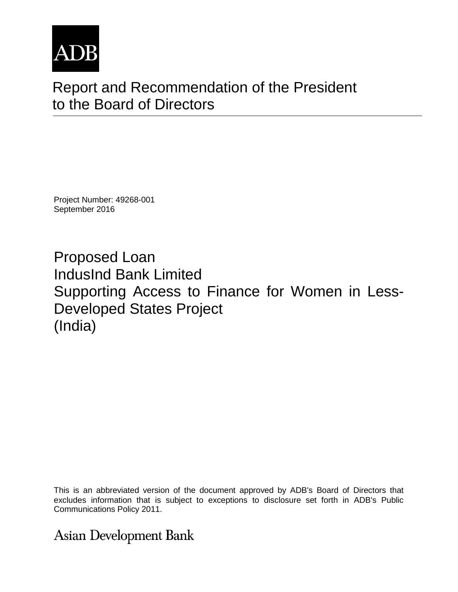

# Report and Recommendation of the President to the Board of Directors

Project Number: 49268-001 September 2016

Proposed Loan IndusInd Bank Limited Supporting Access to Finance for Women in Less-Developed States Project (India)

This is an abbreviated version of the document approved by ADB's Board of Directors that excludes information that is subject to exceptions to disclosure set forth in ADB's Public Communications Policy 2011.

# **Asian Development Bank**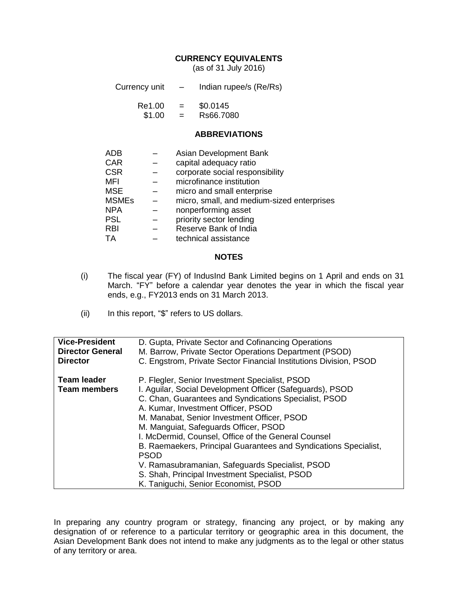#### **CURRENCY EQUIVALENTS**

(as of 31 July 2016)

| Currency unit | Indian rupee/s (Re/Rs) |
|---------------|------------------------|
|---------------|------------------------|

| Re1.00 | = | \$0.0145  |
|--------|---|-----------|
| \$1.00 | = | Rs66.7080 |

#### **ABBREVIATIONS**

| <b>ADB</b>   | Asian Development Bank                     |
|--------------|--------------------------------------------|
| <b>CAR</b>   | capital adequacy ratio                     |
| <b>CSR</b>   | corporate social responsibility            |
| <b>MFI</b>   | microfinance institution                   |
| <b>MSE</b>   | micro and small enterprise                 |
| <b>MSMEs</b> | micro, small, and medium-sized enterprises |
| <b>NPA</b>   | nonperforming asset                        |
| <b>PSL</b>   | priority sector lending                    |
| <b>RBI</b>   | Reserve Bank of India                      |
| ТA           | technical assistance                       |
|              |                                            |

#### **NOTES**

- (i) The fiscal year (FY) of IndusInd Bank Limited begins on 1 April and ends on 31 March. "FY" before a calendar year denotes the year in which the fiscal year ends, e.g., FY2013 ends on 31 March 2013.
- (ii) In this report, "\$" refers to US dollars.

| <b>Vice-President</b>                     | D. Gupta, Private Sector and Cofinancing Operations                                                                                                                                                                                                                                                                                                                                                                                                                                                                                                                                       |
|-------------------------------------------|-------------------------------------------------------------------------------------------------------------------------------------------------------------------------------------------------------------------------------------------------------------------------------------------------------------------------------------------------------------------------------------------------------------------------------------------------------------------------------------------------------------------------------------------------------------------------------------------|
| <b>Director General</b>                   | M. Barrow, Private Sector Operations Department (PSOD)                                                                                                                                                                                                                                                                                                                                                                                                                                                                                                                                    |
| <b>Director</b>                           | C. Engstrom, Private Sector Financial Institutions Division, PSOD                                                                                                                                                                                                                                                                                                                                                                                                                                                                                                                         |
| <b>Team leader</b><br><b>Team members</b> | P. Flegler, Senior Investment Specialist, PSOD<br>I. Aguilar, Social Development Officer (Safeguards), PSOD<br>C. Chan, Guarantees and Syndications Specialist, PSOD<br>A. Kumar, Investment Officer, PSOD<br>M. Manabat, Senior Investment Officer, PSOD<br>M. Manguiat, Safeguards Officer, PSOD<br>I. McDermid, Counsel, Office of the General Counsel<br>B. Raemaekers, Principal Guarantees and Syndications Specialist,<br><b>PSOD</b><br>V. Ramasubramanian, Safeguards Specialist, PSOD<br>S. Shah, Principal Investment Specialist, PSOD<br>K. Taniguchi, Senior Economist, PSOD |

In preparing any country program or strategy, financing any project, or by making any designation of or reference to a particular territory or geographic area in this document, the Asian Development Bank does not intend to make any judgments as to the legal or other status of any territory or area.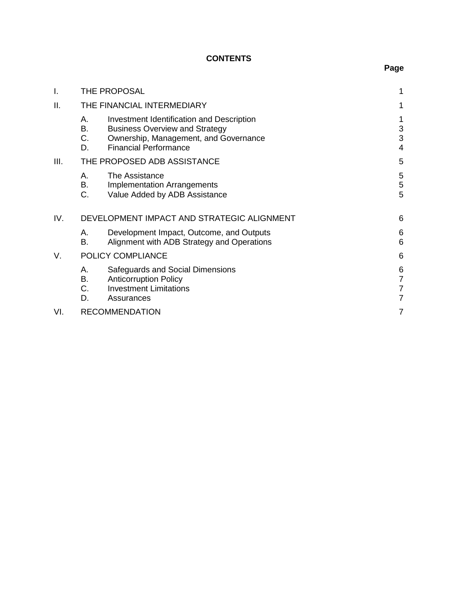# **CONTENTS**

| I.   | THE PROPOSAL                |                                                                                                                                                             |                               |
|------|-----------------------------|-------------------------------------------------------------------------------------------------------------------------------------------------------------|-------------------------------|
| II.  |                             | THE FINANCIAL INTERMEDIARY                                                                                                                                  |                               |
|      | А.<br>В.<br>C.<br>D.        | Investment Identification and Description<br><b>Business Overview and Strategy</b><br>Ownership, Management, and Governance<br><b>Financial Performance</b> | 1<br>3<br>3<br>$\overline{4}$ |
| III. | THE PROPOSED ADB ASSISTANCE |                                                                                                                                                             | 5                             |
|      | Α.<br>В.<br>C.              | The Assistance<br><b>Implementation Arrangements</b><br>Value Added by ADB Assistance                                                                       | 5<br>5<br>5                   |
| IV.  |                             | DEVELOPMENT IMPACT AND STRATEGIC ALIGNMENT                                                                                                                  |                               |
|      | А.<br>B.                    | Development Impact, Outcome, and Outputs<br>Alignment with ADB Strategy and Operations                                                                      | 6<br>6                        |
| V.   |                             | POLICY COMPLIANCE                                                                                                                                           | 6                             |
|      | А.<br>В.<br>С.<br>D.        | Safeguards and Social Dimensions<br><b>Anticorruption Policy</b><br><b>Investment Limitations</b><br>Assurances                                             | 6<br>7<br>7<br>7              |
| VI.  | <b>RECOMMENDATION</b>       |                                                                                                                                                             |                               |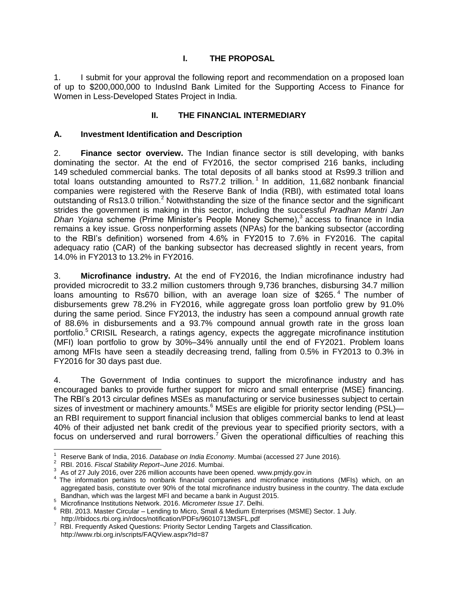### **I. THE PROPOSAL**

<span id="page-4-0"></span>1. I submit for your approval the following report and recommendation on a proposed loan of up to \$200,000,000 to IndusInd Bank Limited for the Supporting Access to Finance for Women in Less-Developed States Project in India.

### **II. THE FINANCIAL INTERMEDIARY**

#### <span id="page-4-2"></span><span id="page-4-1"></span>**A. Investment Identification and Description**

2. **Finance sector overview.** The Indian finance sector is still developing, with banks dominating the sector. At the end of FY2016, the sector comprised 216 banks, including 149 scheduled commercial banks. The total deposits of all banks stood at Rs99.3 trillion and total loans outstanding amounted to Rs77.2 trillion.<sup>1</sup> In addition, 11,682 nonbank financial companies were registered with the Reserve Bank of India (RBI), with estimated total loans outstanding of Rs13.0 trillion.<sup>2</sup> Notwithstanding the size of the finance sector and the significant strides the government is making in this sector, including the successful *Pradhan Mantri Jan Dhan Yojana* scheme (Prime Minister's People Money Scheme), 3 access to finance in India remains a key issue. Gross nonperforming assets (NPAs) for the banking subsector (according to the RBI's definition) worsened from 4.6% in FY2015 to 7.6% in FY2016. The capital adequacy ratio (CAR) of the banking subsector has decreased slightly in recent years, from 14.0% in FY2013 to 13.2% in FY2016.

3. **Microfinance industry.** At the end of FY2016, the Indian microfinance industry had provided microcredit to 33.2 million customers through 9,736 branches, disbursing 34.7 million loans amounting to Rs670 billion, with an average loan size of \$265.<sup>4</sup> The number of disbursements grew 78.2% in FY2016, while aggregate gross loan portfolio grew by 91.0% during the same period. Since FY2013, the industry has seen a compound annual growth rate of 88.6% in disbursements and a 93.7% compound annual growth rate in the gross loan portfolio.<sup>5</sup> CRISIL Research, a ratings agency, expects the aggregate microfinance institution (MFI) loan portfolio to grow by 30%–34% annually until the end of FY2021. Problem loans among MFIs have seen a steadily decreasing trend, falling from 0.5% in FY2013 to 0.3% in FY2016 for 30 days past due.

4. The Government of India continues to support the microfinance industry and has encouraged banks to provide further support for micro and small enterprise (MSE) financing. The RBI's 2013 circular defines MSEs as manufacturing or service businesses subject to certain sizes of investment or machinery amounts.<sup>6</sup> MSEs are eligible for priority sector lending (PSL) an RBI requirement to support financial inclusion that obliges commercial banks to lend at least 40% of their adjusted net bank credit of the previous year to specified priority sectors, with a focus on underserved and rural borrowers.<sup>7</sup> Given the operational difficulties of reaching this

 $\mathbf{1}$ <sup>1</sup> Reserve Bank of India, 2016. *Database on India Economy*. Mumbai (accessed 27 June 2016)*.*

<sup>2</sup> RBI. 2016. *Fiscal Stability Report–June 2016*. Mumbai.

 $3$  As of 27 July 2016, over 226 million accounts have been opened. www.pmjdy.gov.in

<sup>&</sup>lt;sup>4</sup> The information pertains to nonbank financial companies and microfinance institutions (MFIs) which, on an aggregated basis, constitute over 90% of the total microfinance industry business in the country. The data exclude Bandhan, which was the largest MFI and became a bank in August 2015.

<sup>5</sup> Microfinance Institutions Network. 2016. *Micrometer Issue 17*. Delhi.

<sup>6</sup> RBI. 2013. Master Circular – Lending to Micro, Small & Medium Enterprises (MSME) Sector. 1 July. <http://rbidocs.rbi.org.in/rdocs/notification/PDFs/96010713MSFL.pdf>

<sup>7</sup> RBI. Frequently Asked Questions: Priority Sector Lending Targets and Classification. <http://www.rbi.org.in/scripts/FAQView.aspx?Id=87>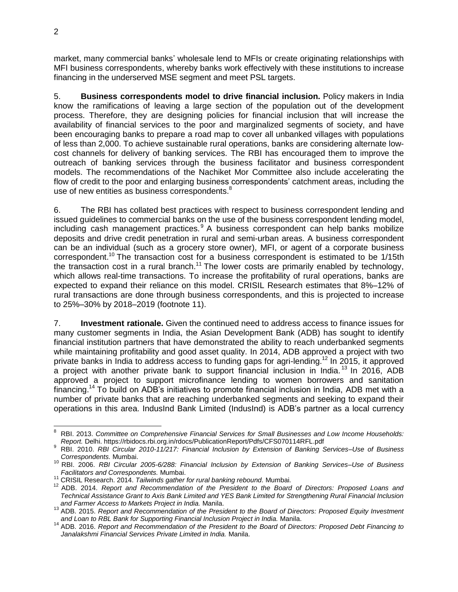market, many commercial banks' wholesale lend to MFIs or create originating relationships with MFI business correspondents, whereby banks work effectively with these institutions to increase financing in the underserved MSE segment and meet PSL targets.

5. **Business correspondents model to drive financial inclusion.** Policy makers in India know the ramifications of leaving a large section of the population out of the development process. Therefore, they are designing policies for financial inclusion that will increase the availability of financial services to the poor and marginalized segments of society, and have been encouraging banks to prepare a road map to cover all unbanked villages with populations of less than 2,000. To achieve sustainable rural operations, banks are considering alternate lowcost channels for delivery of banking services. The RBI has encouraged them to improve the outreach of banking services through the business facilitator and business correspondent models. The recommendations of the Nachiket Mor Committee also include accelerating the flow of credit to the poor and enlarging business correspondents' catchment areas, including the use of new entities as business correspondents.<sup>8</sup>

6. The RBI has collated best practices with respect to business correspondent lending and issued guidelines to commercial banks on the use of the business correspondent lending model, including cash management practices.<sup>9</sup> A business correspondent can help banks mobilize deposits and drive credit penetration in rural and semi-urban areas. A business correspondent can be an individual (such as a grocery store owner), MFI, or agent of a corporate business correspondent.<sup>10</sup> The transaction cost for a business correspondent is estimated to be 1/15th the transaction cost in a rural branch.<sup>11</sup> The lower costs are primarily enabled by technology, which allows real-time transactions. To increase the profitability of rural operations, banks are expected to expand their reliance on this model. CRISIL Research estimates that 8%–12% of rural transactions are done through business correspondents, and this is projected to increase to 25%–30% by 2018–2019 (footnote 11).

7. **Investment rationale.** Given the continued need to address access to finance issues for many customer segments in India, the Asian Development Bank (ADB) has sought to identify financial institution partners that have demonstrated the ability to reach underbanked segments while maintaining profitability and good asset quality. In 2014, ADB approved a project with two private banks in India to address access to funding gaps for agri-lending.<sup>12</sup> In 2015, it approved a project with another private bank to support financial inclusion in India. <sup>13</sup> In 2016, ADB approved a project to support microfinance lending to women borrowers and sanitation financing.<sup>14</sup> To build on ADB's initiatives to promote financial inclusion in India, ADB met with a number of private banks that are reaching underbanked segments and seeking to expand their operations in this area. IndusInd Bank Limited (IndusInd) is ADB's partner as a local currency

 <sup>8</sup> RBI. 2013. *Committee on Comprehensive Financial Services for Small Businesses and Low Income Households: Report.* Delhi.<https://rbidocs.rbi.org.in/rdocs/PublicationReport/Pdfs/CFS070114RFL.pdf>

<sup>9</sup> RBI. 2010. *RBI Circular 2010-11/217: Financial Inclusion by Extension of Banking Services–Use of Business Correspondents.* Mumbai.

<sup>10</sup> RBI. 2006. *RBI Circular 2005-6/288: Financial Inclusion by Extension of Banking Services–Use of Business Facilitators and Correspondents.* Mumbai.

<sup>11</sup> CRISIL Research. 2014. *Tailwinds gather for rural banking rebound.* Mumbai*.*

<sup>12</sup> ADB. 2014. *Report and Recommendation of the President to the Board of Directors: Proposed Loans and Technical Assistance Grant to Axis Bank Limited and YES Bank Limited for Strengthening Rural Financial Inclusion and Farmer Access to Markets Project in India.* Manila.

<sup>13</sup> ADB. 2015. *Report and Recommendation of the President to the Board of Directors: Proposed Equity Investment and Loan to RBL Bank for Supporting Financial Inclusion Project in India.* Manila.

<sup>14</sup> ADB. 2016. *Report and Recommendation of the President to the Board of Directors: Proposed Debt Financing to Janalakshmi Financial Services Private Limited in India.* Manila.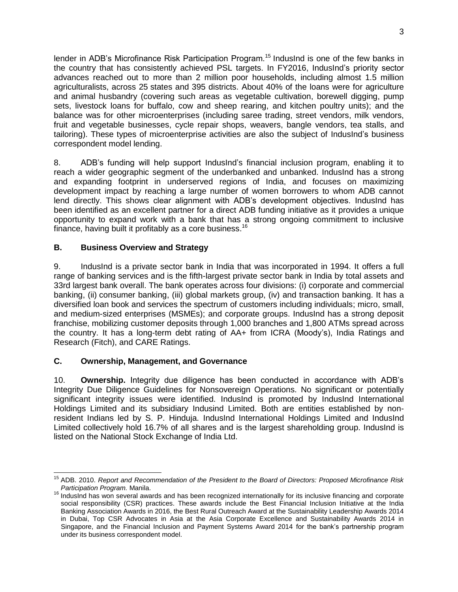lender in ADB's Microfinance Risk Participation Program.<sup>15</sup> IndusInd is one of the few banks in the country that has consistently achieved PSL targets. In FY2016, IndusInd's priority sector advances reached out to more than 2 million poor households, including almost 1.5 million agriculturalists, across 25 states and 395 districts. About 40% of the loans were for agriculture and animal husbandry (covering such areas as vegetable cultivation, borewell digging, pump sets, livestock loans for buffalo, cow and sheep rearing, and kitchen poultry units); and the balance was for other microenterprises (including saree trading, street vendors, milk vendors, fruit and vegetable businesses, cycle repair shops, weavers, bangle vendors, tea stalls, and tailoring). These types of microenterprise activities are also the subject of IndusInd's business correspondent model lending.

8. ADB's funding will help support IndusInd's financial inclusion program, enabling it to reach a wider geographic segment of the underbanked and unbanked. IndusInd has a strong and expanding footprint in underserved regions of India, and focuses on maximizing development impact by reaching a large number of women borrowers to whom ADB cannot lend directly. This shows clear alignment with ADB's development objectives. IndusInd has been identified as an excellent partner for a direct ADB funding initiative as it provides a unique opportunity to expand work with a bank that has a strong ongoing commitment to inclusive finance, having built it profitably as a core business.<sup>16</sup>

#### <span id="page-6-0"></span>**B. Business Overview and Strategy**

9. IndusInd is a private sector bank in India that was incorporated in 1994. It offers a full range of banking services and is the fifth-largest private sector bank in India by total assets and 33rd largest bank overall. The bank operates across four divisions: (i) corporate and commercial banking, (ii) consumer banking, (iii) global markets group, (iv) and transaction banking. It has a diversified loan book and services the spectrum of customers including individuals; micro, small, and medium-sized enterprises (MSMEs); and corporate groups. IndusInd has a strong deposit franchise, mobilizing customer deposits through 1,000 branches and 1,800 ATMs spread across the country. It has a long-term debt rating of AA+ from ICRA (Moody's), India Ratings and Research (Fitch), and CARE Ratings.

### <span id="page-6-1"></span>**C. Ownership, Management, and Governance**

10. **Ownership.** Integrity due diligence has been conducted in accordance with ADB's Integrity Due Diligence Guidelines for Nonsovereign Operations. No significant or potentially significant integrity issues were identified. IndusInd is promoted by IndusInd International Holdings Limited and its subsidiary Indusind Limited. Both are entities established by nonresident Indians led by S. P. Hinduja. IndusInd International Holdings Limited and IndusInd Limited collectively hold 16.7% of all shares and is the largest shareholding group. IndusInd is listed on the National Stock Exchange of India Ltd.

j <sup>15</sup> ADB. 2010. *Report and Recommendation of the President to the Board of Directors: Proposed Microfinance Risk Participation Program.* Manila.

<sup>&</sup>lt;sup>16</sup> IndusInd has won several awards and has been recognized internationally for its inclusive financing and corporate social responsibility (CSR) practices. These awards include the Best Financial Inclusion Initiative at the India Banking Association Awards in 2016, the Best Rural Outreach Award at the Sustainability Leadership Awards 2014 in Dubai, Top CSR Advocates in Asia at the Asia Corporate Excellence and Sustainability Awards 2014 in Singapore, and the Financial Inclusion and Payment Systems Award 2014 for the bank's partnership program under its business correspondent model.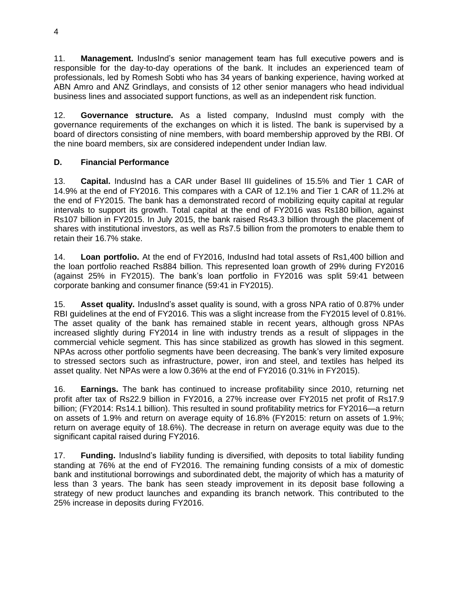11. **Management.** IndusInd's senior management team has full executive powers and is responsible for the day-to-day operations of the bank. It includes an experienced team of professionals, led by Romesh Sobti who has 34 years of banking experience, having worked at ABN Amro and ANZ Grindlays, and consists of 12 other senior managers who head individual business lines and associated support functions, as well as an independent risk function.

12. **Governance structure.** As a listed company, IndusInd must comply with the governance requirements of the exchanges on which it is listed. The bank is supervised by a board of directors consisting of nine members, with board membership approved by the RBI. Of the nine board members, six are considered independent under Indian law.

## <span id="page-7-0"></span>**D. Financial Performance**

13. **Capital.** IndusInd has a CAR under Basel III guidelines of 15.5% and Tier 1 CAR of 14.9% at the end of FY2016. This compares with a CAR of 12.1% and Tier 1 CAR of 11.2% at the end of FY2015. The bank has a demonstrated record of mobilizing equity capital at regular intervals to support its growth. Total capital at the end of FY2016 was Rs180 billion, against Rs107 billion in FY2015. In July 2015, the bank raised Rs43.3 billion through the placement of shares with institutional investors, as well as Rs7.5 billion from the promoters to enable them to retain their 16.7% stake.

14. **Loan portfolio.** At the end of FY2016, IndusInd had total assets of Rs1,400 billion and the loan portfolio reached Rs884 billion. This represented loan growth of 29% during FY2016 (against 25% in FY2015). The bank's loan portfolio in FY2016 was split 59:41 between corporate banking and consumer finance (59:41 in FY2015).

15. **Asset quality.** IndusInd's asset quality is sound, with a gross NPA ratio of 0.87% under RBI guidelines at the end of FY2016. This was a slight increase from the FY2015 level of 0.81%. The asset quality of the bank has remained stable in recent years, although gross NPAs increased slightly during FY2014 in line with industry trends as a result of slippages in the commercial vehicle segment. This has since stabilized as growth has slowed in this segment. NPAs across other portfolio segments have been decreasing. The bank's very limited exposure to stressed sectors such as infrastructure, power, iron and steel, and textiles has helped its asset quality. Net NPAs were a low 0.36% at the end of FY2016 (0.31% in FY2015).

16. **Earnings.** The bank has continued to increase profitability since 2010, returning net profit after tax of Rs22.9 billion in FY2016, a 27% increase over FY2015 net profit of Rs17.9 billion; (FY2014: Rs14.1 billion). This resulted in sound profitability metrics for FY2016—a return on assets of 1.9% and return on average equity of 16.8% (FY2015: return on assets of 1.9%; return on average equity of 18.6%). The decrease in return on average equity was due to the significant capital raised during FY2016.

17. **Funding.** IndusInd's liability funding is diversified, with deposits to total liability funding standing at 76% at the end of FY2016. The remaining funding consists of a mix of domestic bank and institutional borrowings and subordinated debt, the majority of which has a maturity of less than 3 years. The bank has seen steady improvement in its deposit base following a strategy of new product launches and expanding its branch network. This contributed to the 25% increase in deposits during FY2016.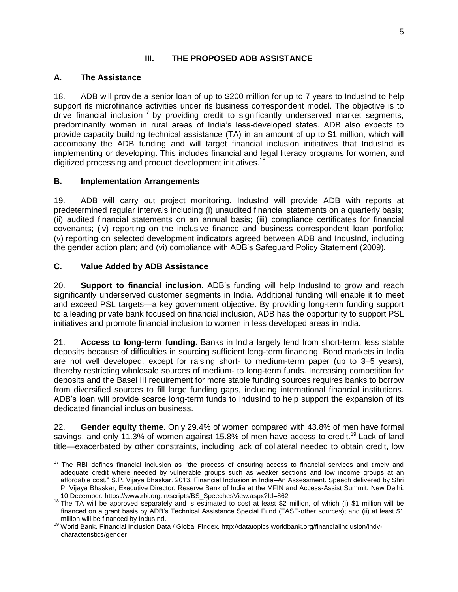#### **III. THE PROPOSED ADB ASSISTANCE**

#### <span id="page-8-1"></span><span id="page-8-0"></span>**A. The Assistance**

18. ADB will provide a senior loan of up to \$200 million for up to 7 years to IndusInd to help support its microfinance activities under its business correspondent model. The objective is to drive financial inclusion<sup>17</sup> by providing credit to significantly underserved market segments, predominantly women in rural areas of India's less-developed states. ADB also expects to provide capacity building technical assistance (TA) in an amount of up to \$1 million, which will accompany the ADB funding and will target financial inclusion initiatives that IndusInd is implementing or developing. This includes financial and legal literacy programs for women, and digitized processing and product development initiatives.<sup>18</sup>

#### <span id="page-8-2"></span>**B. Implementation Arrangements**

19. ADB will carry out project monitoring. IndusInd will provide ADB with reports at predetermined regular intervals including (i) unaudited financial statements on a quarterly basis; (ii) audited financial statements on an annual basis; (iii) compliance certificates for financial covenants; (iv) reporting on the inclusive finance and business correspondent loan portfolio; (v) reporting on selected development indicators agreed between ADB and IndusInd, including the gender action plan; and (vi) compliance with ADB's Safeguard Policy Statement (2009).

#### <span id="page-8-3"></span>**C. Value Added by ADB Assistance**

20. **Support to financial inclusion**. ADB's funding will help IndusInd to grow and reach significantly underserved customer segments in India. Additional funding will enable it to meet and exceed PSL targets—a key government objective. By providing long-term funding support to a leading private bank focused on financial inclusion, ADB has the opportunity to support PSL initiatives and promote financial inclusion to women in less developed areas in India.

21. **Access to long-term funding.** Banks in India largely lend from short-term, less stable deposits because of difficulties in sourcing sufficient long-term financing. Bond markets in India are not well developed, except for raising short- to medium-term paper (up to 3–5 years), thereby restricting wholesale sources of medium- to long-term funds. Increasing competition for deposits and the Basel III requirement for more stable funding sources requires banks to borrow from diversified sources to fill large funding gaps, including international financial institutions. ADB's loan will provide scarce long-term funds to IndusInd to help support the expansion of its dedicated financial inclusion business.

22. **Gender equity theme**. Only 29.4% of women compared with 43.8% of men have formal savings, and only 11.3% of women against 15.8% of men have access to credit.<sup>19</sup> Lack of land title—exacerbated by other constraints, including lack of collateral needed to obtain credit, low

 $\overline{a}$  $17$  The RBI defines financial inclusion as "the process of ensuring access to financial services and timely and adequate credit where needed by vulnerable groups such as weaker sections and low income groups at an affordable cost." S.P. Vijaya Bhaskar. 2013. Financial Inclusion in India–An Assessment. Speech delivered by Shri P. Vijaya Bhaskar, Executive Director, Reserve Bank of India at the MFIN and Access-Assist Summit. New Delhi. 10 December. [https://www.rbi.org.in/scripts/BS\\_SpeechesView.aspx?Id=862](https://www.rbi.org.in/scripts/BS_SpeechesView.aspx?Id=862)

 $18$  The TA will be approved separately and is estimated to cost at least \$2 million, of which (i) \$1 million will be financed on a grant basis by ADB's Technical Assistance Special Fund (TASF-other sources); and (ii) at least \$1 million will be financed by IndusInd.

<sup>19</sup> World Bank. Financial Inclusion Data / Global Findex. [http://datatopics.worldbank.org/financialinclusion/indv](http://datatopics.worldbank.org/financialinclusion/indv-characteristics/gender)[characteristics/gender](http://datatopics.worldbank.org/financialinclusion/indv-characteristics/gender)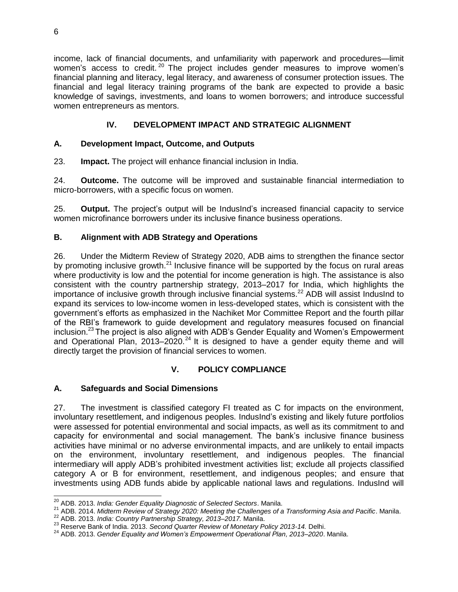income, lack of financial documents, and unfamiliarity with paperwork and procedures—limit women's access to credit.<sup>20</sup> The project includes gender measures to improve women's financial planning and literacy, legal literacy, and awareness of consumer protection issues. The financial and legal literacy training programs of the bank are expected to provide a basic knowledge of savings, investments, and loans to women borrowers; and introduce successful women entrepreneurs as mentors.

## **IV. DEVELOPMENT IMPACT AND STRATEGIC ALIGNMENT**

#### <span id="page-9-1"></span><span id="page-9-0"></span>**A. Development Impact, Outcome, and Outputs**

23. **Impact.** The project will enhance financial inclusion in India.

24. **Outcome.** The outcome will be improved and sustainable financial intermediation to micro-borrowers, with a specific focus on women.

25. **Output.** The project's output will be IndusInd's increased financial capacity to service women microfinance borrowers under its inclusive finance business operations.

#### <span id="page-9-2"></span>**B. Alignment with ADB Strategy and Operations**

26. Under the Midterm Review of Strategy 2020, ADB aims to strengthen the finance sector by promoting inclusive growth. $^{21}$  Inclusive finance will be supported by the focus on rural areas where productivity is low and the potential for income generation is high. The assistance is also consistent with the country partnership strategy, 2013–2017 for India, which highlights the importance of inclusive growth through inclusive financial systems.<sup>22</sup> ADB will assist IndusInd to expand its services to low-income women in less-developed states, which is consistent with the government's efforts as emphasized in the Nachiket Mor Committee Report and the fourth pillar of the RBI's framework to guide development and regulatory measures focused on financial inclusion.<sup>23</sup> The project is also aligned with ADB's Gender Equality and Women's Empowerment and Operational Plan,  $2013-2020$ <sup>24</sup> It is designed to have a gender equity theme and will directly target the provision of financial services to women.

### **V. POLICY COMPLIANCE**

#### <span id="page-9-4"></span><span id="page-9-3"></span>**A. Safeguards and Social Dimensions**

27. The investment is classified category FI treated as C for impacts on the environment, involuntary resettlement, and indigenous peoples. IndusInd's existing and likely future portfolios were assessed for potential environmental and social impacts, as well as its commitment to and capacity for environmental and social management. The bank's inclusive finance business activities have minimal or no adverse environmental impacts, and are unlikely to entail impacts on the environment, involuntary resettlement, and indigenous peoples. The financial intermediary will apply ADB's prohibited investment activities list; exclude all projects classified category A or B for environment, resettlement, and indigenous peoples; and ensure that investments using ADB funds abide by applicable national laws and regulations. IndusInd will

 $\overline{\phantom{a}}$ <sup>20</sup> ADB. 2013. *India: Gender Equality Diagnostic of Selected Sectors*. Manila.

<sup>21</sup> ADB. 2014. *Midterm Review of Strategy 2020: Meeting the Challenges of a Transforming Asia and Pacific*. Manila.

<sup>22</sup> ADB. 2013. *India: Country Partnership Strategy, 2013–2017.* Manila.

<sup>23</sup> Reserve Bank of India. 2013. *Second Quarter Review of Monetary Policy 2013-14.* Delhi.

<sup>24</sup> ADB. 2013. *Gender Equality and Women's Empowerment Operational Plan, 2013–2020*. Manila.